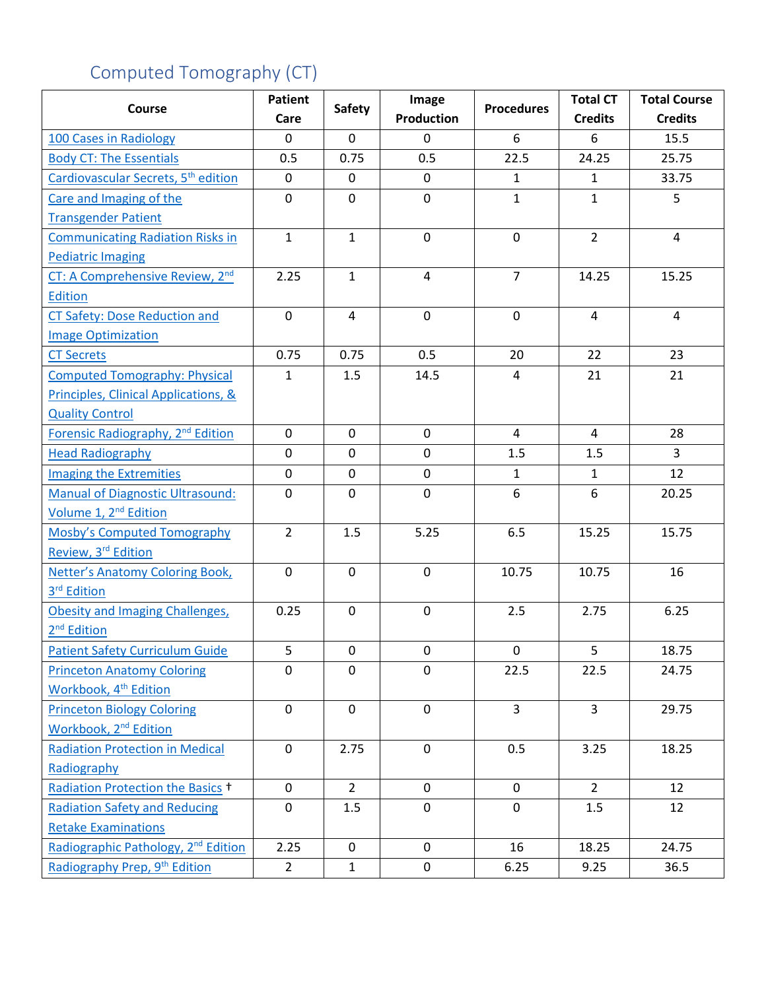## Computed Tomography (CT)

| Course                                          | <b>Patient</b> | <b>Safety</b> | Image             | <b>Procedures</b> | <b>Total CT</b> | <b>Total Course</b> |
|-------------------------------------------------|----------------|---------------|-------------------|-------------------|-----------------|---------------------|
|                                                 | Care           |               | <b>Production</b> |                   | <b>Credits</b>  | <b>Credits</b>      |
| 100 Cases in Radiology                          | $\mathbf 0$    | $\mathbf 0$   | 0                 | 6                 | 6               | 15.5                |
| <b>Body CT: The Essentials</b>                  | 0.5            | 0.75          | 0.5               | 22.5              | 24.25           | 25.75               |
| Cardiovascular Secrets, 5 <sup>th</sup> edition | $\mathbf 0$    | 0             | 0                 | $\mathbf{1}$      | $\mathbf{1}$    | 33.75               |
| Care and Imaging of the                         | $\mathbf 0$    | 0             | 0                 | $\mathbf{1}$      | $\mathbf{1}$    | 5                   |
| <b>Transgender Patient</b>                      |                |               |                   |                   |                 |                     |
| <b>Communicating Radiation Risks in</b>         | $\mathbf{1}$   | $\mathbf{1}$  | 0                 | $\mathbf 0$       | $\overline{2}$  | $\overline{4}$      |
| <b>Pediatric Imaging</b>                        |                |               |                   |                   |                 |                     |
| CT: A Comprehensive Review, 2 <sup>nd</sup>     | 2.25           | $\mathbf{1}$  | 4                 | $\overline{7}$    | 14.25           | 15.25               |
| <b>Edition</b>                                  |                |               |                   |                   |                 |                     |
| <b>CT Safety: Dose Reduction and</b>            | $\mathbf 0$    | 4             | 0                 | $\mathbf 0$       | 4               | $\overline{4}$      |
| <b>Image Optimization</b>                       |                |               |                   |                   |                 |                     |
| <b>CT Secrets</b>                               | 0.75           | 0.75          | 0.5               | 20                | 22              | 23                  |
| <b>Computed Tomography: Physical</b>            | $\mathbf{1}$   | 1.5           | 14.5              | 4                 | 21              | 21                  |
| Principles, Clinical Applications, &            |                |               |                   |                   |                 |                     |
| <b>Quality Control</b>                          |                |               |                   |                   |                 |                     |
| Forensic Radiography, 2 <sup>nd</sup> Edition   | $\mathbf{0}$   | $\mathbf 0$   | $\mathbf 0$       | 4                 | $\overline{4}$  | 28                  |
| <b>Head Radiography</b>                         | $\mathbf 0$    | 0             | 0                 | 1.5               | 1.5             | $\overline{3}$      |
| <b>Imaging the Extremities</b>                  | $\mathbf 0$    | 0             | 0                 | $\mathbf{1}$      | $\mathbf{1}$    | 12                  |
| <b>Manual of Diagnostic Ultrasound:</b>         | $\mathbf 0$    | 0             | 0                 | 6                 | 6               | 20.25               |
| Volume 1, 2 <sup>nd</sup> Edition               |                |               |                   |                   |                 |                     |
| Mosby's Computed Tomography                     | $\overline{2}$ | 1.5           | 5.25              | 6.5               | 15.25           | 15.75               |
| Review, 3 <sup>rd</sup> Edition                 |                |               |                   |                   |                 |                     |
| Netter's Anatomy Coloring Book,                 | $\mathbf 0$    | 0             | 0                 | 10.75             | 10.75           | 16                  |
| 3 <sup>rd</sup> Edition                         |                |               |                   |                   |                 |                     |
| <b>Obesity and Imaging Challenges,</b>          | 0.25           | $\mathbf 0$   | $\mathbf 0$       | 2.5               | 2.75            | 6.25                |
| 2 <sup>nd</sup> Edition                         |                |               |                   |                   |                 |                     |
| <b>Patient Safety Curriculum Guide</b>          | 5              | $\mathbf 0$   | 0                 | $\mathbf 0$       | 5               | 18.75               |
| <b>Princeton Anatomy Coloring</b>               | $\mathbf 0$    | 0             | 0                 | 22.5              | 22.5            | 24.75               |
| Workbook, 4 <sup>th</sup> Edition               |                |               |                   |                   |                 |                     |
| <b>Princeton Biology Coloring</b>               | $\mathbf 0$    | $\mathbf 0$   | $\mathsf 0$       | $\overline{3}$    | $\overline{3}$  | 29.75               |
| Workbook, 2 <sup>nd</sup> Edition               |                |               |                   |                   |                 |                     |
| <b>Radiation Protection in Medical</b>          | $\mathbf 0$    | 2.75          | $\mathbf 0$       | 0.5               | 3.25            | 18.25               |
| Radiography                                     |                |               |                   |                   |                 |                     |
| Radiation Protection the Basics +               | $\mathbf 0$    | $2^{\circ}$   | $\mathsf{O}$      | $\mathbf 0$       | $\overline{2}$  | 12                  |
| <b>Radiation Safety and Reducing</b>            | $\mathbf 0$    | 1.5           | 0                 | $\mathbf 0$       | 1.5             | 12                  |
| <b>Retake Examinations</b>                      |                |               |                   |                   |                 |                     |
| Radiographic Pathology, 2 <sup>nd</sup> Edition | 2.25           | $\mathbf 0$   | $\overline{0}$    | 16                | 18.25           | 24.75               |
| Radiography Prep, 9 <sup>th</sup> Edition       | $\overline{2}$ | 1             | 0                 | 6.25              | 9.25            | 36.5                |